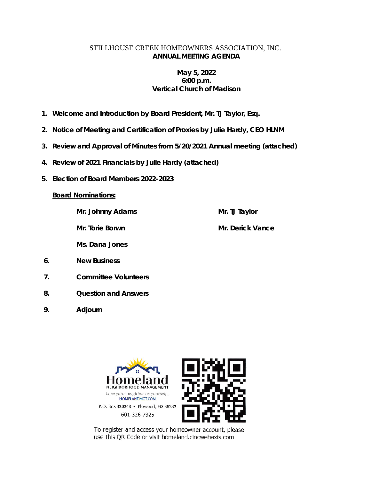### STILLHOUSE CREEK HOMEOWNERS ASSOCIATION, INC. **ANNUAL MEETING AGENDA**

## **May 5, 2022 6:00 p.m. Vertical Church of Madison**

- **1. Welcome and Introduction by Board President, Mr. TJ Taylor, Esq.**
- **2. Notice of Meeting and Certification of Proxies by Julie Hardy, CEO HLNM**
- **3. Review and Approval of Minutes from 5/20/2021 Annual meeting (attached)**
- **4. Review of 2021 Financials by Julie Hardy (attached)**
- **5. Election of Board Members 2022-2023**

### **Board Nominations:**

**Mr. Johnny Adams**

**Mr. Torie Borwn**

**Mr. TJ Taylor** 

**Mr. Derick Vance**

**Ms. Dana Jones**

- **6. New Business**
- **7. Committee Volunteers**
- **8. Question and Answers**
- **9. Adjourn**



To register and access your homeowner account, please use this QR Code or visit homeland.cincwebaxis.com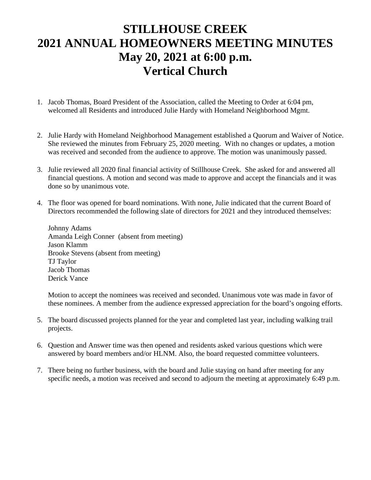# **STILLHOUSE CREEK 2021 ANNUAL HOMEOWNERS MEETING MINUTES May 20, 2021 at 6:00 p.m. Vertical Church**

- 1. Jacob Thomas, Board President of the Association, called the Meeting to Order at 6:04 pm, welcomed all Residents and introduced Julie Hardy with Homeland Neighborhood Mgmt.
- 2. Julie Hardy with Homeland Neighborhood Management established a Quorum and Waiver of Notice. She reviewed the minutes from February 25, 2020 meeting. With no changes or updates, a motion was received and seconded from the audience to approve. The motion was unanimously passed.
- 3. Julie reviewed all 2020 final financial activity of Stillhouse Creek. She asked for and answered all financial questions. A motion and second was made to approve and accept the financials and it was done so by unanimous vote.
- 4. The floor was opened for board nominations. With none, Julie indicated that the current Board of Directors recommended the following slate of directors for 2021 and they introduced themselves:

Johnny Adams Amanda Leigh Conner (absent from meeting) Jason Klamm Brooke Stevens (absent from meeting) TJ Taylor Jacob Thomas Derick Vance

Motion to accept the nominees was received and seconded. Unanimous vote was made in favor of these nominees. A member from the audience expressed appreciation for the board's ongoing efforts.

- 5. The board discussed projects planned for the year and completed last year, including walking trail projects.
- 6. Question and Answer time was then opened and residents asked various questions which were answered by board members and/or HLNM. Also, the board requested committee volunteers.
- 7. There being no further business, with the board and Julie staying on hand after meeting for any specific needs, a motion was received and second to adjourn the meeting at approximately 6:49 p.m.